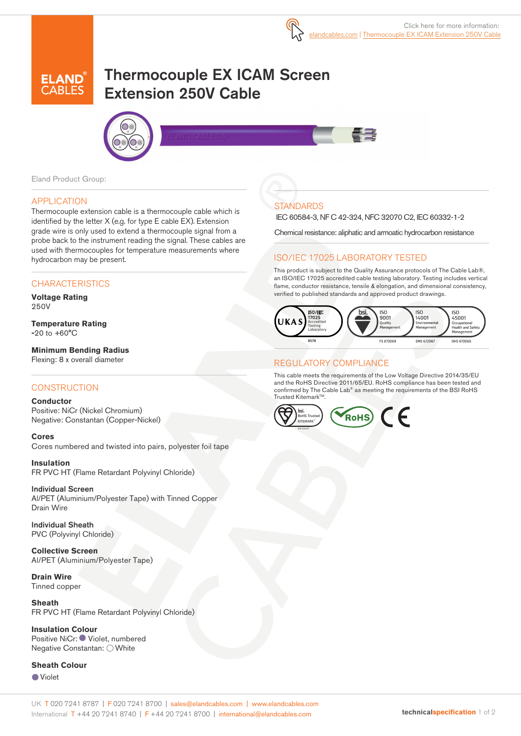# Thermocouple EX ICAM Screen Extension 250V Cable





Eland Product Group:

#### APPLICATION

Thermocouple extension cable is a thermocouple cable which is identified by the letter X (e.g. for type E cable EX). Extension grade wire is only used to extend a thermocouple signal from a probe back to the instrument reading the signal. These cables are used with thermocouples for temperature measurements where hydrocarbon may be present.

## **CHARACTERISTICS**

**Voltage Rating**  250V

**Temperature Rating -**20 to +60°C

**Minimum Bending Radius**  Flexing: 8 x overall diameter

#### **CONSTRUCTION**

**Conductor**

Positive: NiCr (Nickel Chromium) Negative: Constantan (Copper-Nickel)

**Cores** Cores numbered and twisted into pairs, polyester foil tape

**Insulation** FR PVC HT (Flame Retardant Polyvinyl Chloride)

Individual Screen Al/PET (Aluminium/Polyester Tape) with Tinned Copper Drain Wire

Individual Sheath PVC (Polyvinyl Chloride)

**Collective Screen** Al/PET (Aluminium/Polyester Tape)

**Drain Wire**  Tinned copper

**Sheath**  FR PVC HT (Flame Retardant Polyvinyl Chloride)

**Insulation Colour**  Positive NiCr: ● Violet, numbered Negative Constantan: ○ White

**Sheath Colour** 

Violet

**STANDARDS** 

IEC 60584-3, NF C 42-324, NFC 32070 C2, IEC 60332-1-2

Chemical resistance: aliphatic and armoatic hydrocarbon resistance

## ISO/IEC 17025 LABORATORY TESTED

This product is subject to the Quality Assurance protocols of The Cable Lab®, an ISO/IEC 17025 accredited cable testing laboratory. Testing includes vertical flame, conductor resistance, tensile & elongation, and dimensional consistency, verified to published standards and approved product drawings.



### REGULATORY COMPLIANCE

This cable meets the requirements of the Low Voltage Directive 2014/35/EU and the RoHS Directive 2011/65/EU. RoHS compliance has been tested and confirmed by The Cable Lab® as meeting the requirements of the BSI RoHS Trusted Kitemark™.